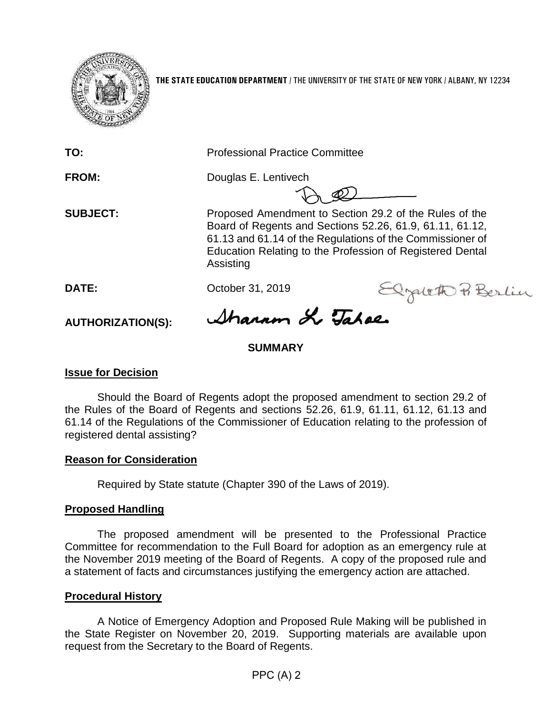

**THE STATE EDUCATION DEPARTMENT** / THE UNIVERSITY OF THE STATE OF NEW YORK / ALBANY, NY 12234

**TO:** Professional Practice Committee

**FROM:** Douglas E. Lentivech

**SUBJECT:** Proposed Amendment to Section 29.2 of the Rules of the Board of Regents and Sections 52.26, 61.9, 61.11, 61.12, 61.13 and 61.14 of the Regulations of the Commissioner of Education Relating to the Profession of Registered Dental Assisting

**AUTHORIZATION(S):**

DATE: October 31, 2019<br>AUTHORIZATION(S): Ahann X Jahon

## **SUMMARY**

#### **Issue for Decision**

Should the Board of Regents adopt the proposed amendment to section 29.2 of the Rules of the Board of Regents and sections 52.26, 61.9, 61.11, 61.12, 61.13 and 61.14 of the Regulations of the Commissioner of Education relating to the profession of registered dental assisting?

#### **Reason for Consideration**

Required by State statute (Chapter 390 of the Laws of 2019).

## **Proposed Handling**

The proposed amendment will be presented to the Professional Practice Committee for recommendation to the Full Board for adoption as an emergency rule at the November 2019 meeting of the Board of Regents. A copy of the proposed rule and a statement of facts and circumstances justifying the emergency action are attached.

#### **Procedural History**

A Notice of Emergency Adoption and Proposed Rule Making will be published in the State Register on November 20, 2019. Supporting materials are available upon request from the Secretary to the Board of Regents.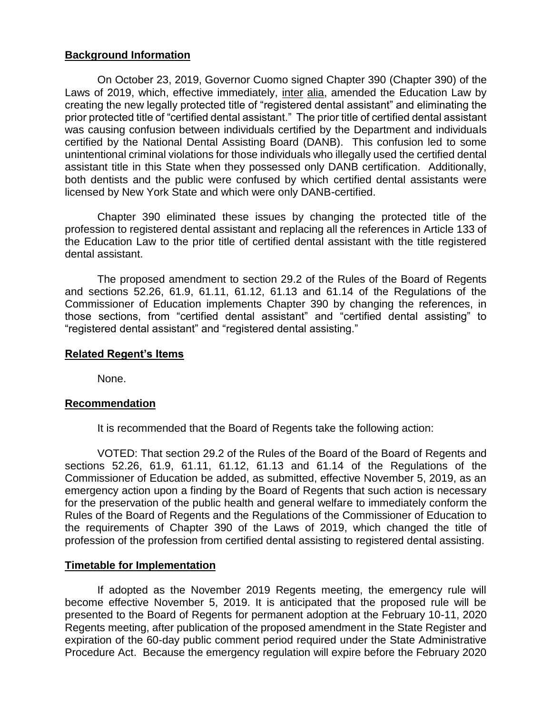#### **Background Information**

On October 23, 2019, Governor Cuomo signed Chapter 390 (Chapter 390) of the Laws of 2019, which, effective immediately, inter alia, amended the Education Law by creating the new legally protected title of "registered dental assistant" and eliminating the prior protected title of "certified dental assistant." The prior title of certified dental assistant was causing confusion between individuals certified by the Department and individuals certified by the National Dental Assisting Board (DANB). This confusion led to some unintentional criminal violations for those individuals who illegally used the certified dental assistant title in this State when they possessed only DANB certification. Additionally, both dentists and the public were confused by which certified dental assistants were licensed by New York State and which were only DANB-certified.

Chapter 390 eliminated these issues by changing the protected title of the profession to registered dental assistant and replacing all the references in Article 133 of the Education Law to the prior title of certified dental assistant with the title registered dental assistant.

The proposed amendment to section 29.2 of the Rules of the Board of Regents and sections 52.26, 61.9, 61.11, 61.12, 61.13 and 61.14 of the Regulations of the Commissioner of Education implements Chapter 390 by changing the references, in those sections, from "certified dental assistant" and "certified dental assisting" to "registered dental assistant" and "registered dental assisting."

#### **Related Regent's Items**

None.

#### **Recommendation**

It is recommended that the Board of Regents take the following action:

VOTED: That section 29.2 of the Rules of the Board of the Board of Regents and sections 52.26, 61.9, 61.11, 61.12, 61.13 and 61.14 of the Regulations of the Commissioner of Education be added, as submitted, effective November 5, 2019, as an emergency action upon a finding by the Board of Regents that such action is necessary for the preservation of the public health and general welfare to immediately conform the Rules of the Board of Regents and the Regulations of the Commissioner of Education to the requirements of Chapter 390 of the Laws of 2019, which changed the title of profession of the profession from certified dental assisting to registered dental assisting.

#### **Timetable for Implementation**

If adopted as the November 2019 Regents meeting, the emergency rule will become effective November 5, 2019. It is anticipated that the proposed rule will be presented to the Board of Regents for permanent adoption at the February 10-11, 2020 Regents meeting, after publication of the proposed amendment in the State Register and expiration of the 60-day public comment period required under the State Administrative Procedure Act. Because the emergency regulation will expire before the February 2020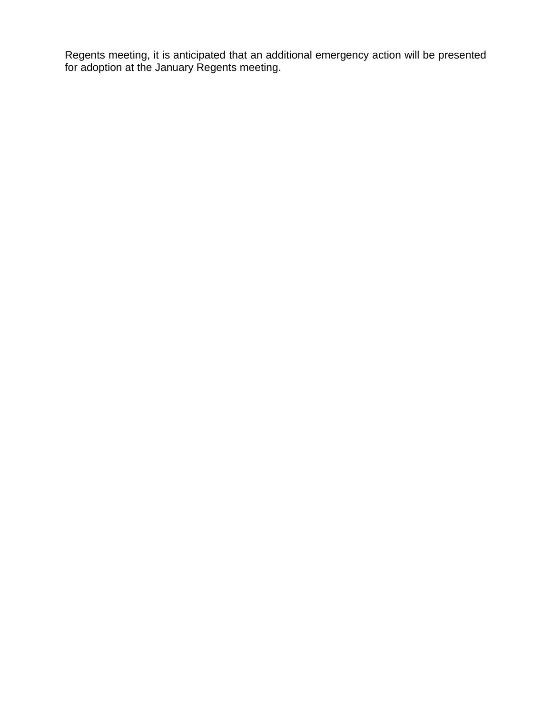Regents meeting, it is anticipated that an additional emergency action will be presented for adoption at the January Regents meeting.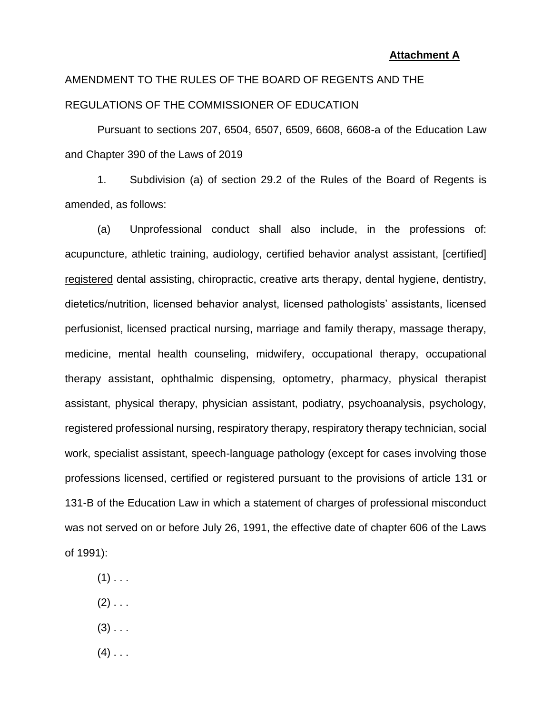#### **Attachment A**

# AMENDMENT TO THE RULES OF THE BOARD OF REGENTS AND THE REGULATIONS OF THE COMMISSIONER OF EDUCATION

Pursuant to sections 207, 6504, 6507, 6509, 6608, 6608-a of the Education Law and Chapter 390 of the Laws of 2019

1. Subdivision (a) of section 29.2 of the Rules of the Board of Regents is amended, as follows:

(a) Unprofessional conduct shall also include, in the professions of: acupuncture, athletic training, audiology, certified behavior analyst assistant, [certified] registered dental assisting, chiropractic, creative arts therapy, dental hygiene, dentistry, dietetics/nutrition, licensed behavior analyst, licensed pathologists' assistants, licensed perfusionist, licensed practical nursing, marriage and family therapy, massage therapy, medicine, mental health counseling, midwifery, occupational therapy, occupational therapy assistant, ophthalmic dispensing, optometry, pharmacy, physical therapist assistant, physical therapy, physician assistant, podiatry, psychoanalysis, psychology, registered professional nursing, respiratory therapy, respiratory therapy technician, social work, specialist assistant, speech-language pathology (except for cases involving those professions licensed, certified or registered pursuant to the provisions of article 131 or 131-B of the Education Law in which a statement of charges of professional misconduct was not served on or before July 26, 1991, the effective date of chapter 606 of the Laws of 1991):

- $(1)$  . . .
- $(2)$  . . .
- $(3)$  . . .
- $(4)$  . . .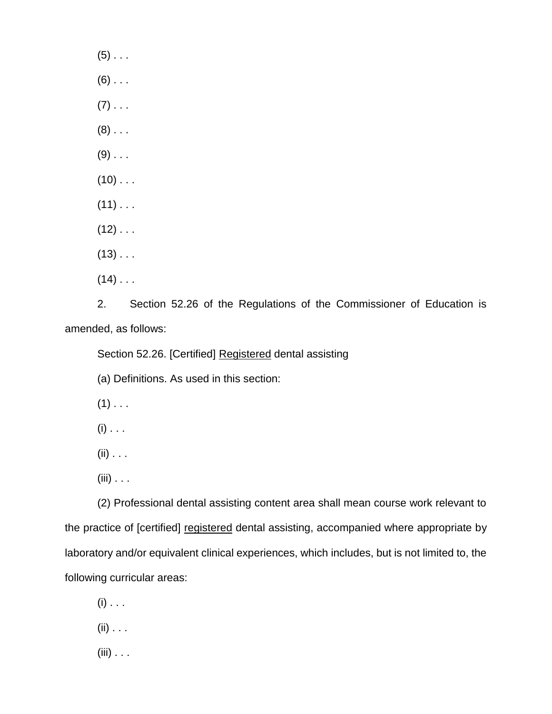$(5)$  . . .  $(6)$  . . .  $(7)$  . . .  $(8)$  . . .  $(9)$  . . .  $(10)$  . . .  $(11)$  . . .  $(12)$  . . .  $(13)$  . . .  $(14)$  . . .

2. Section 52.26 of the Regulations of the Commissioner of Education is

amended, as follows:

Section 52.26. [Certified] Registered dental assisting

(a) Definitions. As used in this section:

 $(1)$  . . .

 $(i)$  . . .

 $(ii) \ldots$ 

(iii) . . .

(2) Professional dental assisting content area shall mean course work relevant to the practice of [certified] registered dental assisting, accompanied where appropriate by laboratory and/or equivalent clinical experiences, which includes, but is not limited to, the following curricular areas:

 $(i)$  . . .

 $(ii) \ldots$ 

 $(iii) \ldots$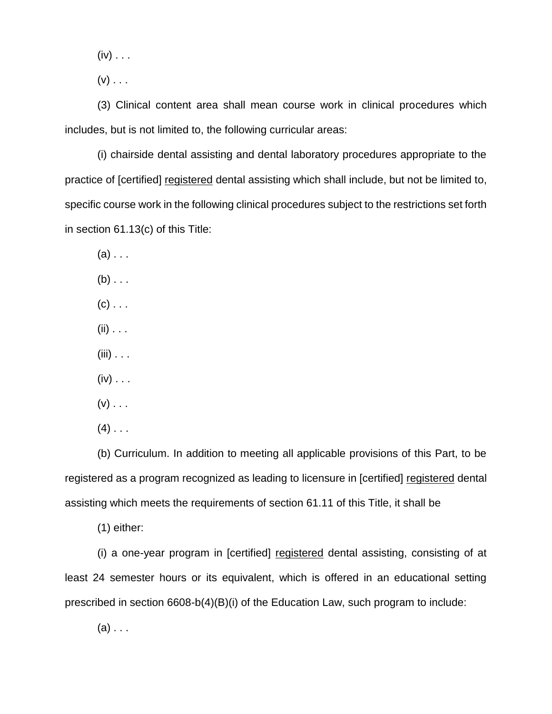$(iv)$  . . .

 $(v)$  . . .

(3) Clinical content area shall mean course work in clinical procedures which includes, but is not limited to, the following curricular areas:

(i) chairside dental assisting and dental laboratory procedures appropriate to the practice of [certified] registered dental assisting which shall include, but not be limited to, specific course work in the following clinical procedures subject to the restrictions set forth in section 61.13(c) of this Title:

 $(a)$  . . .

 $(b)$  . . .

- $(c)$  . . .
- $(ii) \ldots$
- $(iii)$  . . .
- $(iv) \ldots$
- $(v)$  . . .
- $(4)$  . . .

(b) Curriculum. In addition to meeting all applicable provisions of this Part, to be registered as a program recognized as leading to licensure in [certified] registered dental assisting which meets the requirements of section 61.11 of this Title, it shall be

(1) either:

(i) a one-year program in [certified] registered dental assisting, consisting of at least 24 semester hours or its equivalent, which is offered in an educational setting prescribed in section 6608-b(4)(B)(i) of the Education Law, such program to include:

 $(a)$  . . .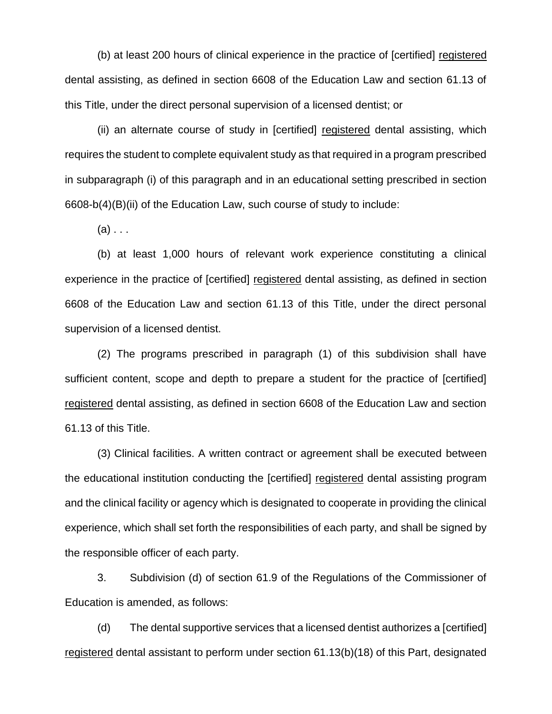(b) at least 200 hours of clinical experience in the practice of [certified] registered dental assisting, as defined in section 6608 of the Education Law and section 61.13 of this Title, under the direct personal supervision of a licensed dentist; or

(ii) an alternate course of study in [certified] registered dental assisting, which requires the student to complete equivalent study as that required in a program prescribed in subparagraph (i) of this paragraph and in an educational setting prescribed in section 6608-b(4)(B)(ii) of the Education Law, such course of study to include:

 $(a)$ ...

(b) at least 1,000 hours of relevant work experience constituting a clinical experience in the practice of [certified] registered dental assisting, as defined in section 6608 of the Education Law and section 61.13 of this Title, under the direct personal supervision of a licensed dentist.

(2) The programs prescribed in paragraph (1) of this subdivision shall have sufficient content, scope and depth to prepare a student for the practice of [certified] registered dental assisting, as defined in section 6608 of the Education Law and section 61.13 of this Title.

(3) Clinical facilities. A written contract or agreement shall be executed between the educational institution conducting the [certified] registered dental assisting program and the clinical facility or agency which is designated to cooperate in providing the clinical experience, which shall set forth the responsibilities of each party, and shall be signed by the responsible officer of each party.

3. Subdivision (d) of section 61.9 of the Regulations of the Commissioner of Education is amended, as follows:

(d) The dental supportive services that a licensed dentist authorizes a [certified] registered dental assistant to perform under section 61.13(b)(18) of this Part, designated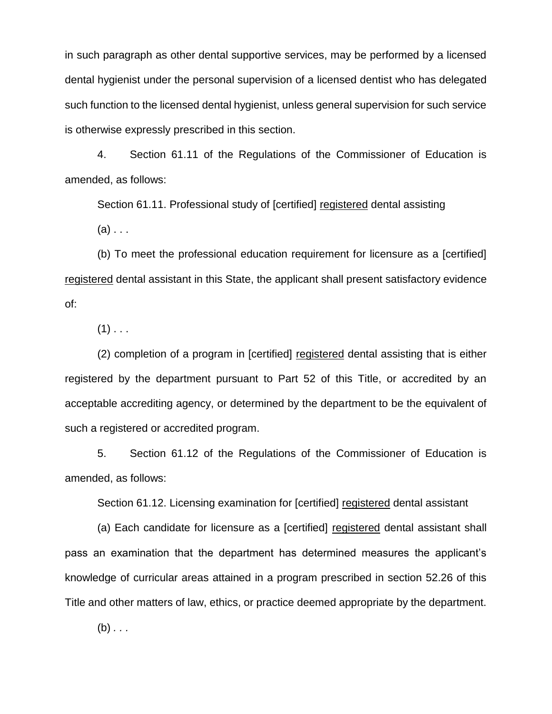in such paragraph as other dental supportive services, may be performed by a licensed dental hygienist under the personal supervision of a licensed dentist who has delegated such function to the licensed dental hygienist, unless general supervision for such service is otherwise expressly prescribed in this section.

4. Section 61.11 of the Regulations of the Commissioner of Education is amended, as follows:

Section 61.11. Professional study of [certified] registered dental assisting  $(a) \ldots$ 

(b) To meet the professional education requirement for licensure as a [certified] registered dental assistant in this State, the applicant shall present satisfactory evidence of:

 $(1)$  . . .

(2) completion of a program in [certified] registered dental assisting that is either registered by the department pursuant to Part 52 of this Title, or accredited by an acceptable accrediting agency, or determined by the department to be the equivalent of such a registered or accredited program.

5. Section 61.12 of the Regulations of the Commissioner of Education is amended, as follows:

Section 61.12. Licensing examination for [certified] registered dental assistant

(a) Each candidate for licensure as a [certified] registered dental assistant shall pass an examination that the department has determined measures the applicant's knowledge of curricular areas attained in a program prescribed in section 52.26 of this Title and other matters of law, ethics, or practice deemed appropriate by the department.

(b) *. . .*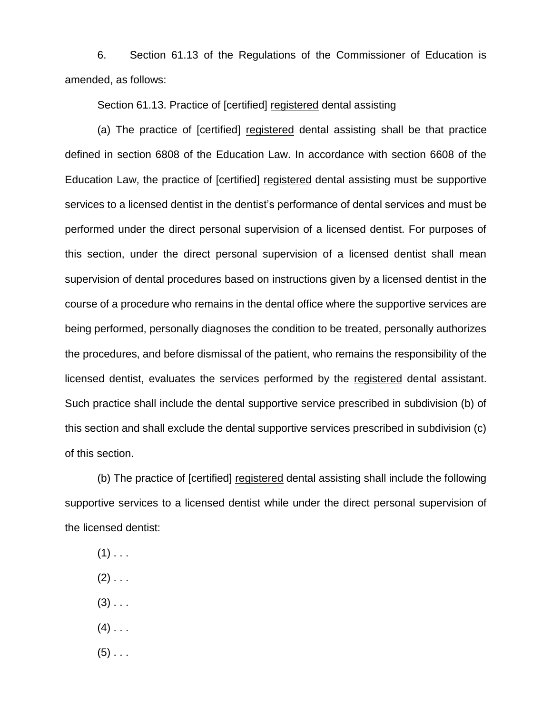6. Section 61.13 of the Regulations of the Commissioner of Education is amended, as follows:

Section 61.13. Practice of [certified] registered dental assisting

(a) The practice of [certified] registered dental assisting shall be that practice defined in section 6808 of the Education Law. In accordance with section 6608 of the Education Law, the practice of [certified] registered dental assisting must be supportive services to a licensed dentist in the dentist's performance of dental services and must be performed under the direct personal supervision of a licensed dentist. For purposes of this section, under the direct personal supervision of a licensed dentist shall mean supervision of dental procedures based on instructions given by a licensed dentist in the course of a procedure who remains in the dental office where the supportive services are being performed, personally diagnoses the condition to be treated, personally authorizes the procedures, and before dismissal of the patient, who remains the responsibility of the licensed dentist, evaluates the services performed by the registered dental assistant. Such practice shall include the dental supportive service prescribed in subdivision (b) of this section and shall exclude the dental supportive services prescribed in subdivision (c) of this section.

(b) The practice of [certified] registered dental assisting shall include the following supportive services to a licensed dentist while under the direct personal supervision of the licensed dentist:

- $(1)$  . . .
- $(2)$  . . .
- $(3)$  . . .
- $(4)$  . . .
- $(5)$  . . .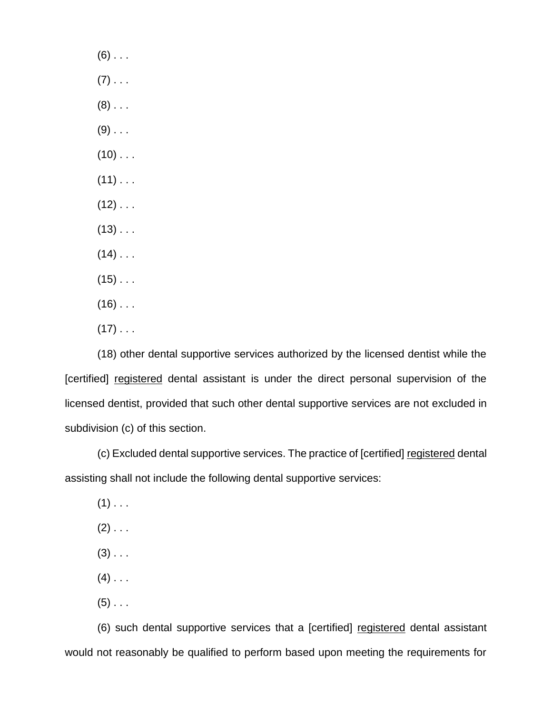$(6)$  . . .  $(7)$  . . .  $(8)$  . . .  $(9)$  . . .  $(10)$  . . .  $(11)$  . . .  $(12)$  . . .  $(13)$  . . .  $(14)$  . . .  $(15)$  . . .  $(16)$  . . .  $(17)$  . . .

(18) other dental supportive services authorized by the licensed dentist while the [certified] registered dental assistant is under the direct personal supervision of the licensed dentist, provided that such other dental supportive services are not excluded in subdivision (c) of this section.

(c) Excluded dental supportive services. The practice of [certified] registered dental assisting shall not include the following dental supportive services:

- $(1)$  . . .
- $(2)$  . . .
- $(3)$  . . .
- $(4)$  . . .
- $(5)$  . . .

(6) such dental supportive services that a [certified] registered dental assistant would not reasonably be qualified to perform based upon meeting the requirements for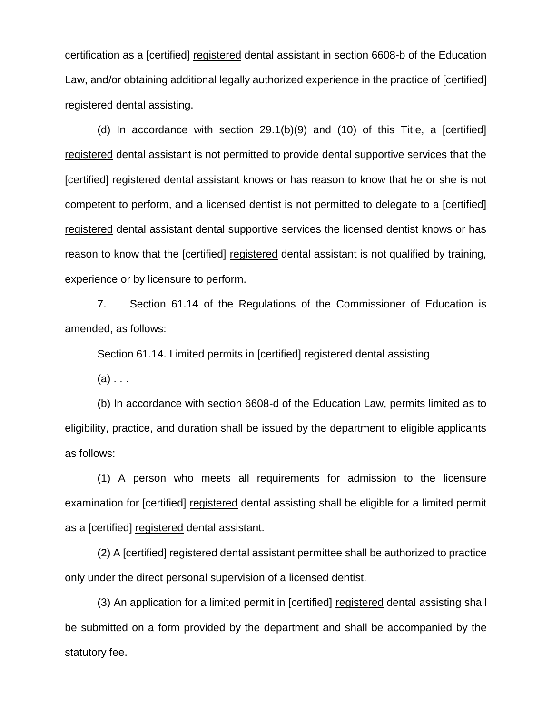certification as a [certified] registered dental assistant in section 6608-b of the Education Law, and/or obtaining additional legally authorized experience in the practice of [certified] registered dental assisting.

(d) In accordance with section 29.1(b)(9) and (10) of this Title, a [certified] registered dental assistant is not permitted to provide dental supportive services that the [certified] registered dental assistant knows or has reason to know that he or she is not competent to perform, and a licensed dentist is not permitted to delegate to a [certified] registered dental assistant dental supportive services the licensed dentist knows or has reason to know that the [certified] registered dental assistant is not qualified by training, experience or by licensure to perform.

7. Section 61.14 of the Regulations of the Commissioner of Education is amended, as follows:

Section 61.14. Limited permits in [certified] registered dental assisting

 $(a)$ ...

(b) In accordance with section 6608-d of the Education Law, permits limited as to eligibility, practice, and duration shall be issued by the department to eligible applicants as follows:

(1) A person who meets all requirements for admission to the licensure examination for [certified] registered dental assisting shall be eligible for a limited permit as a [certified] registered dental assistant.

(2) A [certified] registered dental assistant permittee shall be authorized to practice only under the direct personal supervision of a licensed dentist.

(3) An application for a limited permit in [certified] registered dental assisting shall be submitted on a form provided by the department and shall be accompanied by the statutory fee.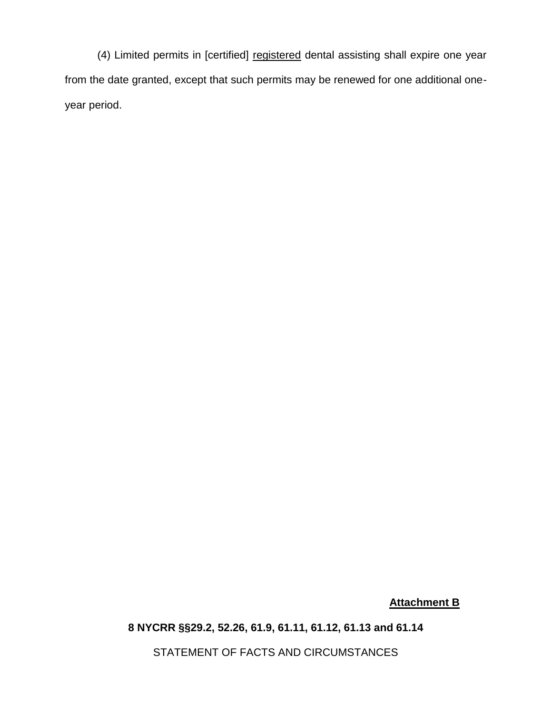(4) Limited permits in [certified] registered dental assisting shall expire one year from the date granted, except that such permits may be renewed for one additional oneyear period.

# **Attachment B**

## **8 NYCRR §§29.2, 52.26, 61.9, 61.11, 61.12, 61.13 and 61.14**

STATEMENT OF FACTS AND CIRCUMSTANCES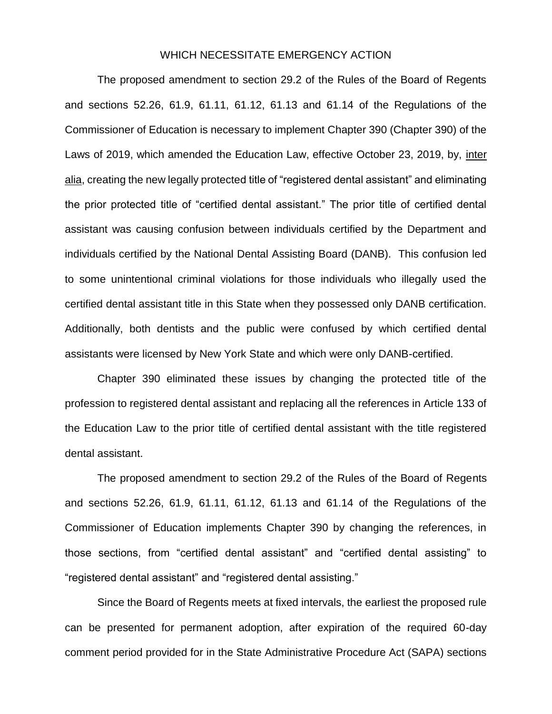#### WHICH NECESSITATE EMERGENCY ACTION

The proposed amendment to section 29.2 of the Rules of the Board of Regents and sections 52.26, 61.9, 61.11, 61.12, 61.13 and 61.14 of the Regulations of the Commissioner of Education is necessary to implement Chapter 390 (Chapter 390) of the Laws of 2019, which amended the Education Law, effective October 23, 2019, by, inter alia, creating the new legally protected title of "registered dental assistant" and eliminating the prior protected title of "certified dental assistant." The prior title of certified dental assistant was causing confusion between individuals certified by the Department and individuals certified by the National Dental Assisting Board (DANB). This confusion led to some unintentional criminal violations for those individuals who illegally used the certified dental assistant title in this State when they possessed only DANB certification. Additionally, both dentists and the public were confused by which certified dental assistants were licensed by New York State and which were only DANB-certified.

Chapter 390 eliminated these issues by changing the protected title of the profession to registered dental assistant and replacing all the references in Article 133 of the Education Law to the prior title of certified dental assistant with the title registered dental assistant.

The proposed amendment to section 29.2 of the Rules of the Board of Regents and sections 52.26, 61.9, 61.11, 61.12, 61.13 and 61.14 of the Regulations of the Commissioner of Education implements Chapter 390 by changing the references, in those sections, from "certified dental assistant" and "certified dental assisting" to "registered dental assistant" and "registered dental assisting."

Since the Board of Regents meets at fixed intervals, the earliest the proposed rule can be presented for permanent adoption, after expiration of the required 60-day comment period provided for in the State Administrative Procedure Act (SAPA) sections